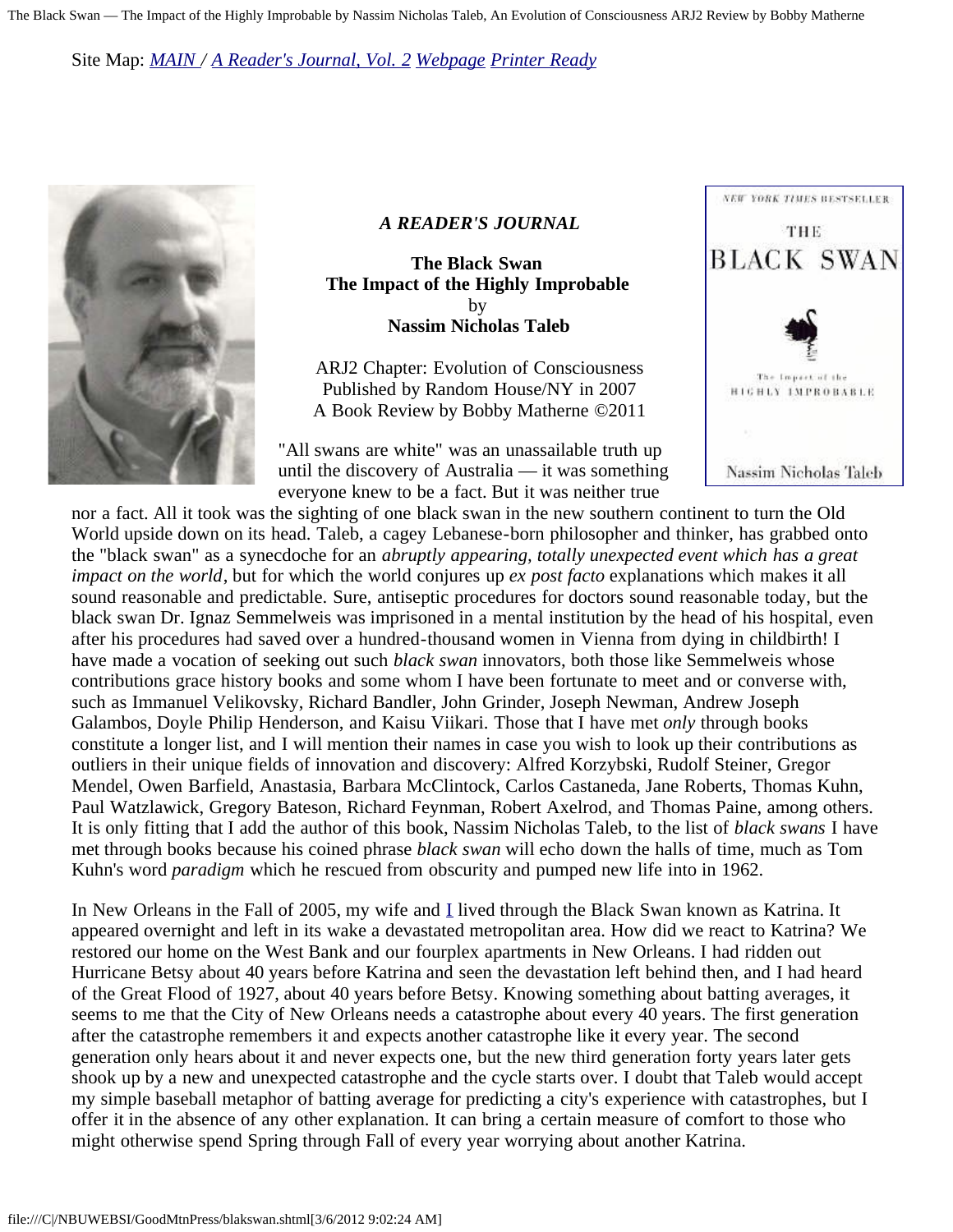Site Map: *[MAIN](http://www.doyletics.com/) / [A Reader's Journal, Vol. 2](http://www.doyletics.com/arjrevs.htm) [Webpage](http://www.doyletics.com/arj/blakswan.htm) [Printer Ready](http://www.doyletics.com/arj/blakswan.pdf)*



#### *A READER'S JOURNAL*

**The Black Swan The Impact of the Highly Improbable**  by **Nassim Nicholas Taleb**

ARJ2 Chapter: Evolution of Consciousness Published by Random House/NY in 2007 A Book Review by Bobby Matherne ©2011

"All swans are white" was an unassailable truth up until the discovery of Australia — it was something everyone knew to be a fact. But it was neither true



nor a fact. All it took was the sighting of one black swan in the new southern continent to turn the Old World upside down on its head. Taleb, a cagey Lebanese-born philosopher and thinker, has grabbed onto the "black swan" as a synecdoche for an *abruptly appearing, totally unexpected event which has a great impact on the world*, but for which the world conjures up *ex post facto* explanations which makes it all sound reasonable and predictable. Sure, antiseptic procedures for doctors sound reasonable today, but the black swan Dr. Ignaz Semmelweis was imprisoned in a mental institution by the head of his hospital, even after his procedures had saved over a hundred-thousand women in Vienna from dying in childbirth! I have made a vocation of seeking out such *black swan* innovators, both those like Semmelweis whose contributions grace history books and some whom I have been fortunate to meet and or converse with, such as Immanuel Velikovsky, Richard Bandler, John Grinder, Joseph Newman, Andrew Joseph Galambos, Doyle Philip Henderson, and Kaisu Viikari. Those that I have met *only* through books constitute a longer list, and I will mention their names in case you wish to look up their contributions as outliers in their unique fields of innovation and discovery: Alfred Korzybski, Rudolf Steiner, Gregor Mendel, Owen Barfield, Anastasia, Barbara McClintock, Carlos Castaneda, Jane Roberts, Thomas Kuhn, Paul Watzlawick, Gregory Bateson, Richard Feynman, Robert Axelrod, and Thomas Paine, among others. It is only fitting that I add the author of this book, Nassim Nicholas Taleb, to the list of *black swans* I have met through books because his coined phrase *black swan* will echo down the halls of time, much as Tom Kuhn's word *paradigm* which he rescued from obscurity and pumped new life into in 1962.

In New Orleans in the Fall of 2005, my wife and [I](http://www.doyletics.com/bobby.htm) lived through the Black Swan known as Katrina. It appeared overnight and left in its wake a devastated metropolitan area. How did we react to Katrina? We restored our home on the West Bank and our fourplex apartments in New Orleans. I had ridden out Hurricane Betsy about 40 years before Katrina and seen the devastation left behind then, and I had heard of the Great Flood of 1927, about 40 years before Betsy. Knowing something about batting averages, it seems to me that the City of New Orleans needs a catastrophe about every 40 years. The first generation after the catastrophe remembers it and expects another catastrophe like it every year. The second generation only hears about it and never expects one, but the new third generation forty years later gets shook up by a new and unexpected catastrophe and the cycle starts over. I doubt that Taleb would accept my simple baseball metaphor of batting average for predicting a city's experience with catastrophes, but I offer it in the absence of any other explanation. It can bring a certain measure of comfort to those who might otherwise spend Spring through Fall of every year worrying about another Katrina.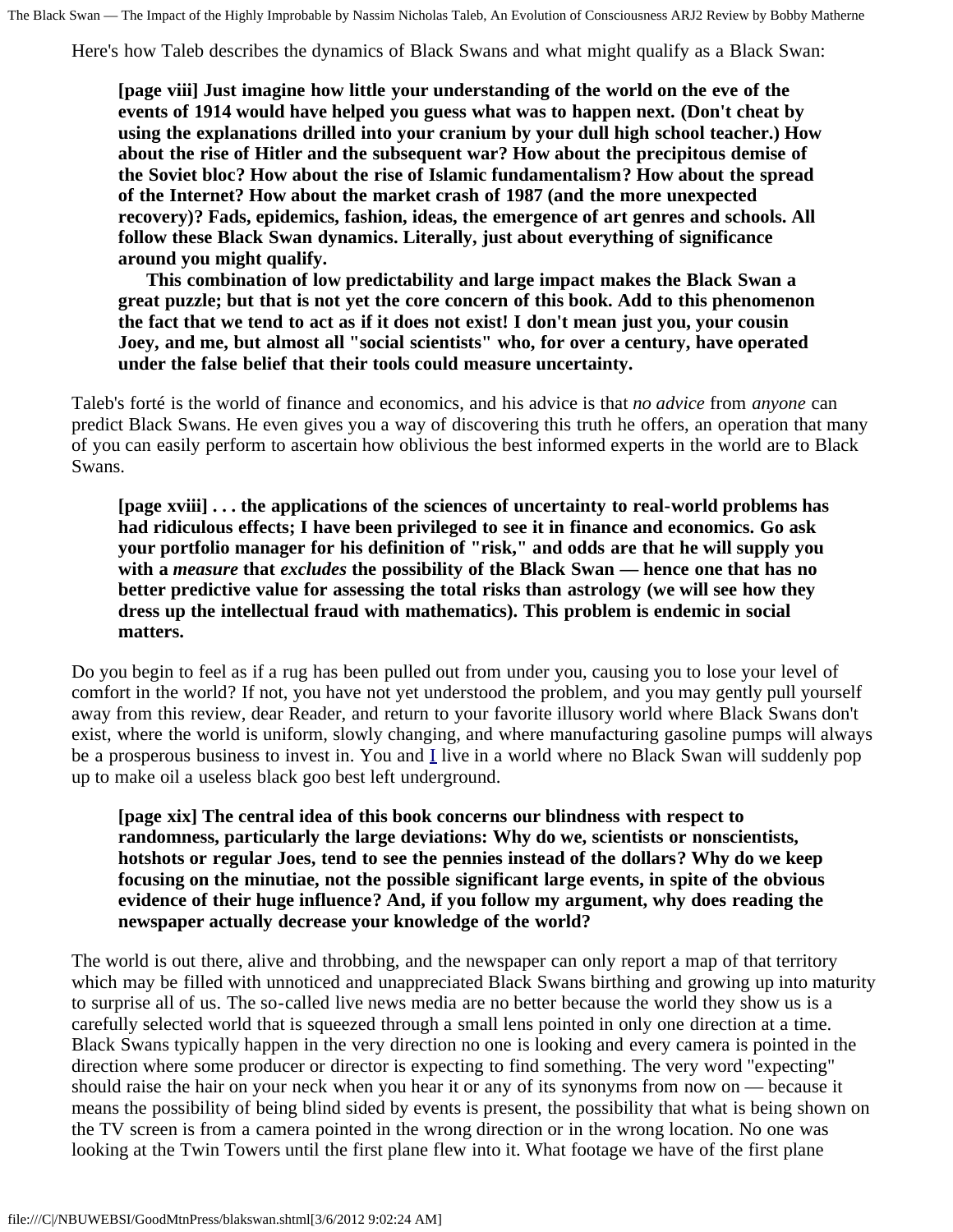Here's how Taleb describes the dynamics of Black Swans and what might qualify as a Black Swan:

**[page viii] Just imagine how little your understanding of the world on the eve of the events of 1914 would have helped you guess what was to happen next. (Don't cheat by using the explanations drilled into your cranium by your dull high school teacher.) How about the rise of Hitler and the subsequent war? How about the precipitous demise of the Soviet bloc? How about the rise of Islamic fundamentalism? How about the spread of the Internet? How about the market crash of 1987 (and the more unexpected recovery)? Fads, epidemics, fashion, ideas, the emergence of art genres and schools. All follow these Black Swan dynamics. Literally, just about everything of significance around you might qualify.** 

 **This combination of low predictability and large impact makes the Black Swan a great puzzle; but that is not yet the core concern of this book. Add to this phenomenon the fact that we tend to act as if it does not exist! I don't mean just you, your cousin Joey, and me, but almost all "social scientists" who, for over a century, have operated under the false belief that their tools could measure uncertainty.**

Taleb's forté is the world of finance and economics, and his advice is that *no advice* from *anyone* can predict Black Swans. He even gives you a way of discovering this truth he offers, an operation that many of you can easily perform to ascertain how oblivious the best informed experts in the world are to Black Swans.

**[page xviii] . . . the applications of the sciences of uncertainty to real-world problems has had ridiculous effects; I have been privileged to see it in finance and economics. Go ask your portfolio manager for his definition of "risk," and odds are that he will supply you with a** *measure* **that** *excludes* **the possibility of the Black Swan — hence one that has no better predictive value for assessing the total risks than astrology (we will see how they dress up the intellectual fraud with mathematics). This problem is endemic in social matters.**

Do you begin to feel as if a rug has been pulled out from under you, causing you to lose your level of comfort in the world? If not, you have not yet understood the problem, and you may gently pull yourself away from this review, dear Reader, and return to your favorite illusory world where Black Swans don't exist, where the world is uniform, slowly changing, and where manufacturing gasoline pumps will always be a prosperous business to invest in. You and [I](http://www.doyletics.com/bobby.htm) live in a world where no Black Swan will suddenly pop up to make oil a useless black goo best left underground.

**[page xix] The central idea of this book concerns our blindness with respect to randomness, particularly the large deviations: Why do we, scientists or nonscientists, hotshots or regular Joes, tend to see the pennies instead of the dollars? Why do we keep focusing on the minutiae, not the possible significant large events, in spite of the obvious evidence of their huge influence? And, if you follow my argument, why does reading the newspaper actually decrease your knowledge of the world?**

The world is out there, alive and throbbing, and the newspaper can only report a map of that territory which may be filled with unnoticed and unappreciated Black Swans birthing and growing up into maturity to surprise all of us. The so-called live news media are no better because the world they show us is a carefully selected world that is squeezed through a small lens pointed in only one direction at a time. Black Swans typically happen in the very direction no one is looking and every camera is pointed in the direction where some producer or director is expecting to find something. The very word "expecting" should raise the hair on your neck when you hear it or any of its synonyms from now on — because it means the possibility of being blind sided by events is present, the possibility that what is being shown on the TV screen is from a camera pointed in the wrong direction or in the wrong location. No one was looking at the Twin Towers until the first plane flew into it. What footage we have of the first plane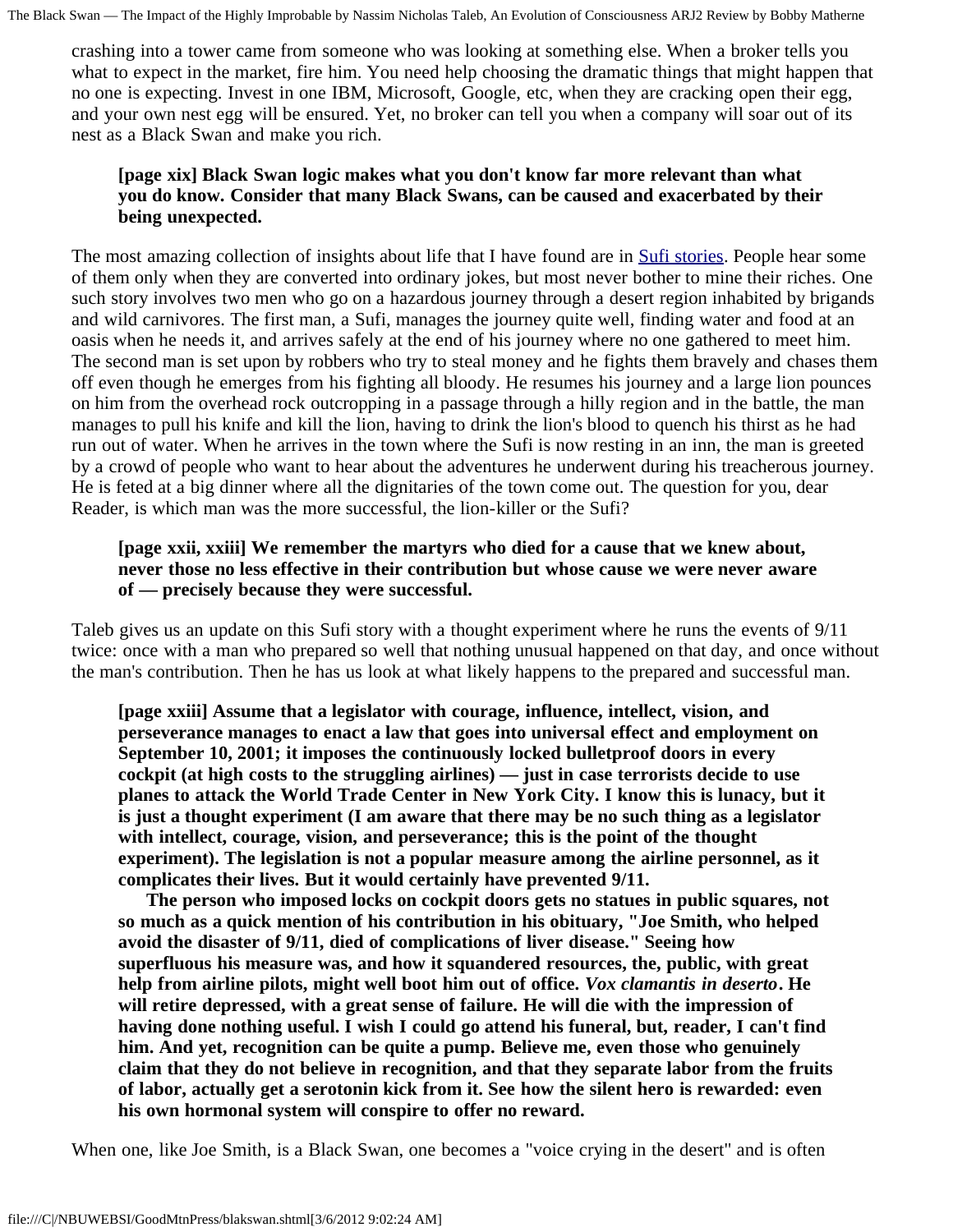crashing into a tower came from someone who was looking at something else. When a broker tells you what to expect in the market, fire him. You need help choosing the dramatic things that might happen that no one is expecting. Invest in one IBM, Microsoft, Google, etc, when they are cracking open their egg, and your own nest egg will be ensured. Yet, no broker can tell you when a company will soar out of its nest as a Black Swan and make you rich.

### **[page xix] Black Swan logic makes what you don't know far more relevant than what you do know. Consider that many Black Swans, can be caused and exacerbated by their being unexpected.**

The most amazing collection of insights about life that I have found are in **Sufi stories**. People hear some of them only when they are converted into ordinary jokes, but most never bother to mine their riches. One such story involves two men who go on a hazardous journey through a desert region inhabited by brigands and wild carnivores. The first man, a Sufi, manages the journey quite well, finding water and food at an oasis when he needs it, and arrives safely at the end of his journey where no one gathered to meet him. The second man is set upon by robbers who try to steal money and he fights them bravely and chases them off even though he emerges from his fighting all bloody. He resumes his journey and a large lion pounces on him from the overhead rock outcropping in a passage through a hilly region and in the battle, the man manages to pull his knife and kill the lion, having to drink the lion's blood to quench his thirst as he had run out of water. When he arrives in the town where the Sufi is now resting in an inn, the man is greeted by a crowd of people who want to hear about the adventures he underwent during his treacherous journey. He is feted at a big dinner where all the dignitaries of the town come out. The question for you, dear Reader, is which man was the more successful, the lion-killer or the Sufi?

# **[page xxii, xxiii] We remember the martyrs who died for a cause that we knew about, never those no less effective in their contribution but whose cause we were never aware of — precisely because they were successful.**

Taleb gives us an update on this Sufi story with a thought experiment where he runs the events of 9/11 twice: once with a man who prepared so well that nothing unusual happened on that day, and once without the man's contribution. Then he has us look at what likely happens to the prepared and successful man.

**[page xxiii] Assume that a legislator with courage, influence, intellect, vision, and perseverance manages to enact a law that goes into universal effect and employment on September 10, 2001; it imposes the continuously locked bulletproof doors in every cockpit (at high costs to the struggling airlines) — just in case terrorists decide to use planes to attack the World Trade Center in New York City. I know this is lunacy, but it is just a thought experiment (I am aware that there may be no such thing as a legislator with intellect, courage, vision, and perseverance; this is the point of the thought experiment). The legislation is not a popular measure among the airline personnel, as it complicates their lives. But it would certainly have prevented 9/11.** 

 **The person who imposed locks on cockpit doors gets no statues in public squares, not so much as a quick mention of his contribution in his obituary, "Joe Smith, who helped avoid the disaster of 9/11, died of complications of liver disease." Seeing how superfluous his measure was, and how it squandered resources, the, public, with great help from airline pilots, might well boot him out of office.** *Vox clamantis in deserto***. He will retire depressed, with a great sense of failure. He will die with the impression of having done nothing useful. I wish I could go attend his funeral, but, reader, I can't find him. And yet, recognition can be quite a pump. Believe me, even those who genuinely claim that they do not believe in recognition, and that they separate labor from the fruits of labor, actually get a serotonin kick from it. See how the silent hero is rewarded: even his own hormonal system will conspire to offer no reward.**

When one, like Joe Smith, is a Black Swan, one becomes a "voice crying in the desert" and is often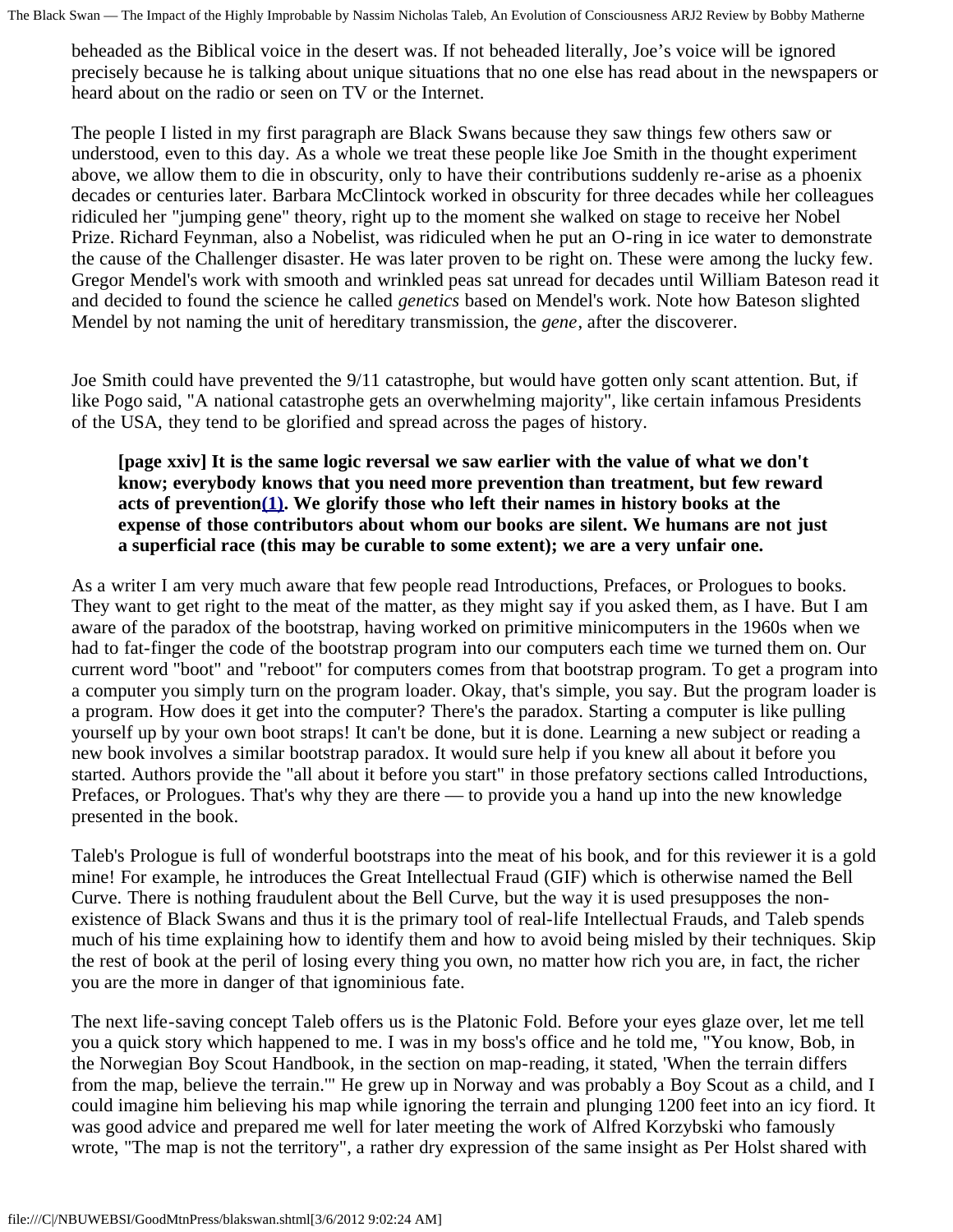beheaded as the Biblical voice in the desert was. If not beheaded literally, Joe's voice will be ignored precisely because he is talking about unique situations that no one else has read about in the newspapers or heard about on the radio or seen on TV or the Internet.

The people I listed in my first paragraph are Black Swans because they saw things few others saw or understood, even to this day. As a whole we treat these people like Joe Smith in the thought experiment above, we allow them to die in obscurity, only to have their contributions suddenly re-arise as a phoenix decades or centuries later. Barbara McClintock worked in obscurity for three decades while her colleagues ridiculed her "jumping gene" theory, right up to the moment she walked on stage to receive her Nobel Prize. Richard Feynman, also a Nobelist, was ridiculed when he put an O-ring in ice water to demonstrate the cause of the Challenger disaster. He was later proven to be right on. These were among the lucky few. Gregor Mendel's work with smooth and wrinkled peas sat unread for decades until William Bateson read it and decided to found the science he called *genetics* based on Mendel's work. Note how Bateson slighted Mendel by not naming the unit of hereditary transmission, the *gene*, after the discoverer.

<span id="page-3-0"></span>Joe Smith could have prevented the 9/11 catastrophe, but would have gotten only scant attention. But, if like Pogo said, "A national catastrophe gets an overwhelming majority", like certain infamous Presidents of the USA, they tend to be glorified and spread across the pages of history.

### **[page xxiv] It is the same logic reversal we saw earlier with the value of what we don't know; everybody knows that you need more prevention than treatment, but few reward acts of preventio[n\(1\)](#page-5-0). We glorify those who left their names in history books at the expense of those contributors about whom our books are silent. We humans are not just a superficial race (this may be curable to some extent); we are a very unfair one.**

As a writer I am very much aware that few people read Introductions, Prefaces, or Prologues to books. They want to get right to the meat of the matter, as they might say if you asked them, as I have. But I am aware of the paradox of the bootstrap, having worked on primitive minicomputers in the 1960s when we had to fat-finger the code of the bootstrap program into our computers each time we turned them on. Our current word "boot" and "reboot" for computers comes from that bootstrap program. To get a program into a computer you simply turn on the program loader. Okay, that's simple, you say. But the program loader is a program. How does it get into the computer? There's the paradox. Starting a computer is like pulling yourself up by your own boot straps! It can't be done, but it is done. Learning a new subject or reading a new book involves a similar bootstrap paradox. It would sure help if you knew all about it before you started. Authors provide the "all about it before you start" in those prefatory sections called Introductions, Prefaces, or Prologues. That's why they are there — to provide you a hand up into the new knowledge presented in the book.

Taleb's Prologue is full of wonderful bootstraps into the meat of his book, and for this reviewer it is a gold mine! For example, he introduces the Great Intellectual Fraud (GIF) which is otherwise named the Bell Curve. There is nothing fraudulent about the Bell Curve, but the way it is used presupposes the nonexistence of Black Swans and thus it is the primary tool of real-life Intellectual Frauds, and Taleb spends much of his time explaining how to identify them and how to avoid being misled by their techniques. Skip the rest of book at the peril of losing every thing you own, no matter how rich you are, in fact, the richer you are the more in danger of that ignominious fate.

The next life-saving concept Taleb offers us is the Platonic Fold. Before your eyes glaze over, let me tell you a quick story which happened to me. I was in my boss's office and he told me, "You know, Bob, in the Norwegian Boy Scout Handbook, in the section on map-reading, it stated, 'When the terrain differs from the map, believe the terrain.'" He grew up in Norway and was probably a Boy Scout as a child, and I could imagine him believing his map while ignoring the terrain and plunging 1200 feet into an icy fiord. It was good advice and prepared me well for later meeting the work of Alfred Korzybski who famously wrote, "The map is not the territory", a rather dry expression of the same insight as Per Holst shared with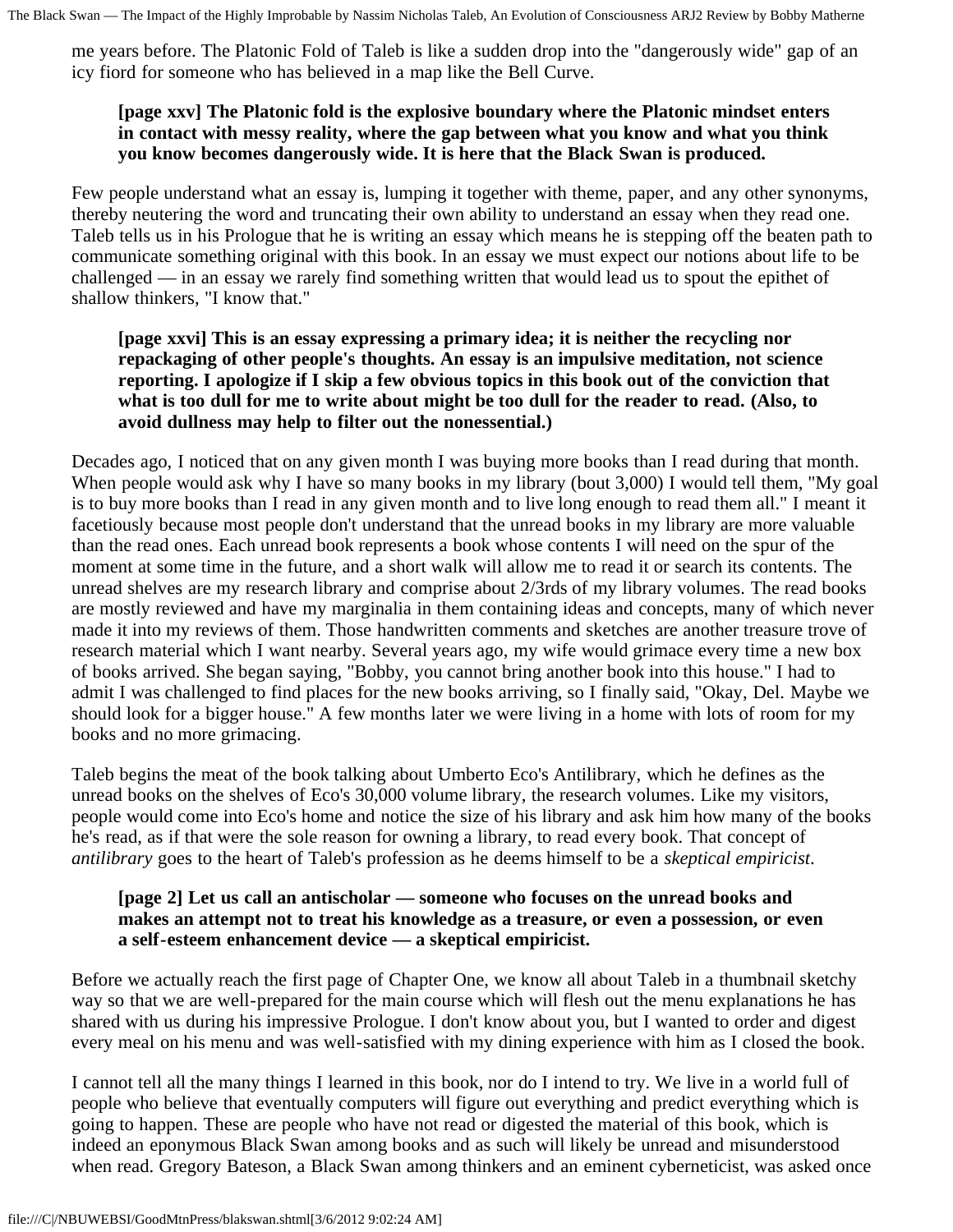me years before. The Platonic Fold of Taleb is like a sudden drop into the "dangerously wide" gap of an icy fiord for someone who has believed in a map like the Bell Curve.

# **[page xxv] The Platonic fold is the explosive boundary where the Platonic mindset enters in contact with messy reality, where the gap between what you know and what you think you know becomes dangerously wide. It is here that the Black Swan is produced.**

Few people understand what an essay is, lumping it together with theme, paper, and any other synonyms, thereby neutering the word and truncating their own ability to understand an essay when they read one. Taleb tells us in his Prologue that he is writing an essay which means he is stepping off the beaten path to communicate something original with this book. In an essay we must expect our notions about life to be challenged — in an essay we rarely find something written that would lead us to spout the epithet of shallow thinkers, "I know that."

# **[page xxvi] This is an essay expressing a primary idea; it is neither the recycling nor repackaging of other people's thoughts. An essay is an impulsive meditation, not science reporting. I apologize if I skip a few obvious topics in this book out of the conviction that what is too dull for me to write about might be too dull for the reader to read. (Also, to avoid dullness may help to filter out the nonessential.)**

Decades ago, I noticed that on any given month I was buying more books than I read during that month. When people would ask why I have so many books in my library (bout 3,000) I would tell them, "My goal is to buy more books than I read in any given month and to live long enough to read them all." I meant it facetiously because most people don't understand that the unread books in my library are more valuable than the read ones. Each unread book represents a book whose contents I will need on the spur of the moment at some time in the future, and a short walk will allow me to read it or search its contents. The unread shelves are my research library and comprise about 2/3rds of my library volumes. The read books are mostly reviewed and have my marginalia in them containing ideas and concepts, many of which never made it into my reviews of them. Those handwritten comments and sketches are another treasure trove of research material which I want nearby. Several years ago, my wife would grimace every time a new box of books arrived. She began saying, "Bobby, you cannot bring another book into this house." I had to admit I was challenged to find places for the new books arriving, so I finally said, "Okay, Del. Maybe we should look for a bigger house." A few months later we were living in a home with lots of room for my books and no more grimacing.

Taleb begins the meat of the book talking about Umberto Eco's Antilibrary, which he defines as the unread books on the shelves of Eco's 30,000 volume library, the research volumes. Like my visitors, people would come into Eco's home and notice the size of his library and ask him how many of the books he's read, as if that were the sole reason for owning a library, to read every book. That concept of *antilibrary* goes to the heart of Taleb's profession as he deems himself to be a *skeptical empiricist*.

### **[page 2] Let us call an antischolar — someone who focuses on the unread books and makes an attempt not to treat his knowledge as a treasure, or even a possession, or even a self-esteem enhancement device — a skeptical empiricist.**

Before we actually reach the first page of Chapter One, we know all about Taleb in a thumbnail sketchy way so that we are well-prepared for the main course which will flesh out the menu explanations he has shared with us during his impressive Prologue. I don't know about you, but I wanted to order and digest every meal on his menu and was well-satisfied with my dining experience with him as I closed the book.

I cannot tell all the many things I learned in this book, nor do I intend to try. We live in a world full of people who believe that eventually computers will figure out everything and predict everything which is going to happen. These are people who have not read or digested the material of this book, which is indeed an eponymous Black Swan among books and as such will likely be unread and misunderstood when read. Gregory Bateson, a Black Swan among thinkers and an eminent cyberneticist, was asked once